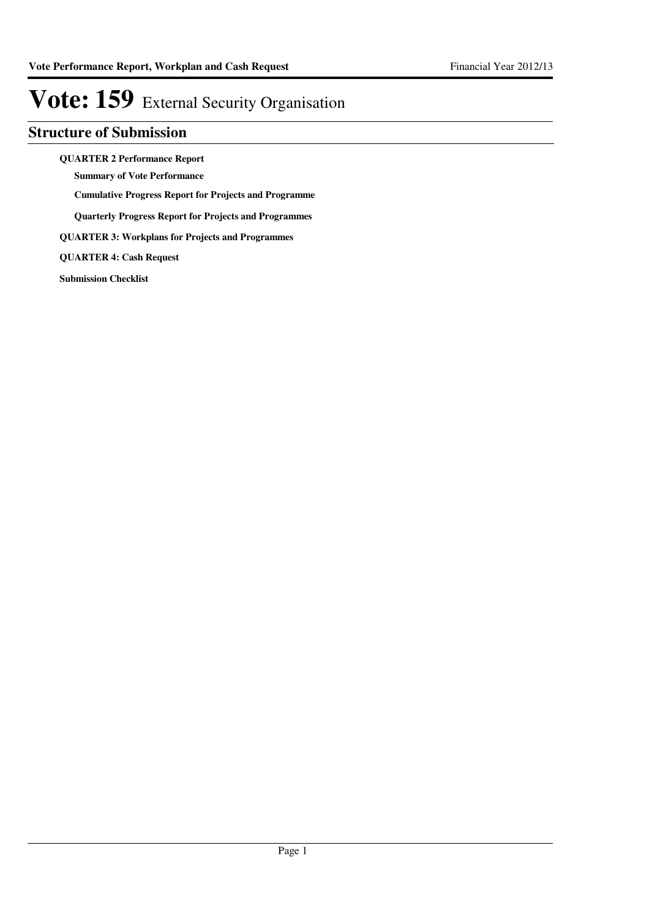## **Structure of Submission**

**QUARTER 2 Performance Report**

**Summary of Vote Performance**

**Cumulative Progress Report for Projects and Programme**

**Quarterly Progress Report for Projects and Programmes**

**QUARTER 3: Workplans for Projects and Programmes**

**QUARTER 4: Cash Request**

**Submission Checklist**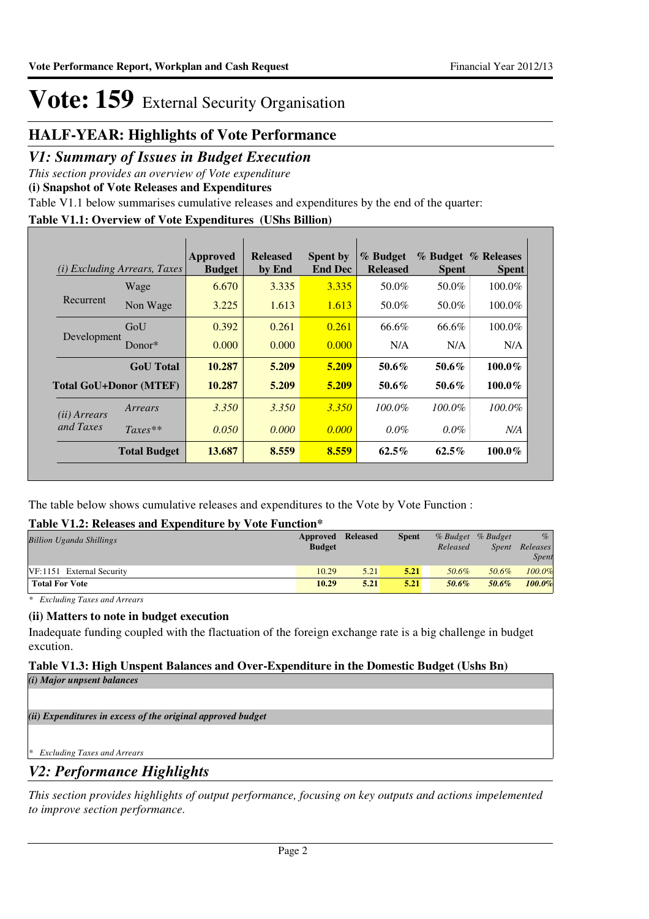## **HALF-YEAR: Highlights of Vote Performance**

### *V1: Summary of Issues in Budget Execution*

*This section provides an overview of Vote expenditure* 

**(i) Snapshot of Vote Releases and Expenditures**

Table V1.1 below summarises cumulative releases and expenditures by the end of the quarter:

### **Table V1.1: Overview of Vote Expenditures (UShs Billion)**

| (i)                   | <i>Excluding Arrears, Taxes</i> | Approved<br><b>Budget</b> | <b>Released</b><br>by End | <b>Spent by</b><br><b>End Dec</b> | % Budget<br><b>Released</b> | <b>Spent</b> | % Budget % Releases<br><b>Spent</b> |
|-----------------------|---------------------------------|---------------------------|---------------------------|-----------------------------------|-----------------------------|--------------|-------------------------------------|
|                       | Wage                            | 6.670                     | 3.335                     | 3.335                             | 50.0%                       | 50.0%        | 100.0%                              |
| Recurrent             | Non Wage                        | 3.225                     | 1.613                     | 1.613                             | 50.0%                       | 50.0%        | $100.0\%$                           |
|                       | GoU                             | 0.392                     | 0.261                     | 0.261                             | 66.6%                       | 66.6%        | 100.0%                              |
| Development           | Donor $*$                       | 0.000                     | 0.000                     | 0.000                             | N/A                         | N/A          | N/A                                 |
|                       | <b>GoU</b> Total                | 10.287                    | 5.209                     | 5.209                             | $50.6\%$                    | 50.6%        | $100.0\%$                           |
|                       | <b>Total GoU+Donor (MTEF)</b>   | 10.287                    | 5.209                     | 5.209                             | $50.6\%$                    | 50.6%        | 100.0%                              |
| ( <i>ii</i> ) Arrears | Arrears                         | 3.350                     | 3.350                     | 3.350                             | $100.0\%$                   | $100.0\%$    | $100.0\%$                           |
| and Taxes             | $Taxes**$                       | 0.050                     | 0.000                     | 0.000                             | $0.0\%$                     | $0.0\%$      | N/A                                 |
|                       | <b>Total Budget</b>             | 13.687                    | 8.559                     | 8.559                             | $62.5\%$                    | $62.5\%$     | 100.0%                              |

The table below shows cumulative releases and expenditures to the Vote by Vote Function :

### **Table V1.2: Releases and Expenditure by Vote Function\***

| <b>Billion Uganda Shillings</b> | <b>Approved Released</b><br><b>Budget</b> |      | <b>Spent</b> | Released | % Budget % Budget<br>Spent | $\%$<br>Releases<br>Spent |
|---------------------------------|-------------------------------------------|------|--------------|----------|----------------------------|---------------------------|
| VF:1151 External Security       | 10.29                                     | 5.21 | 5.21         | 50.6%    | 50.6%                      | $100.0\%$                 |
| <b>Total For Vote</b>           | 10.29                                     | 5.21 | 5.21         | 50.6%    | 50.6%                      | 100.0%                    |

*\* Excluding Taxes and Arrears*

### **(ii) Matters to note in budget execution**

Inadequate funding coupled with the flactuation of the foreign exchange rate is a big challenge in budget excution.

### **Table V1.3: High Unspent Balances and Over-Expenditure in the Domestic Budget (Ushs Bn)** *(i) Major unpsent balances*

*(ii) Expenditures in excess of the original approved budget*

*\* Excluding Taxes and Arrears*

## *V2: Performance Highlights*

*This section provides highlights of output performance, focusing on key outputs and actions impelemented to improve section performance.*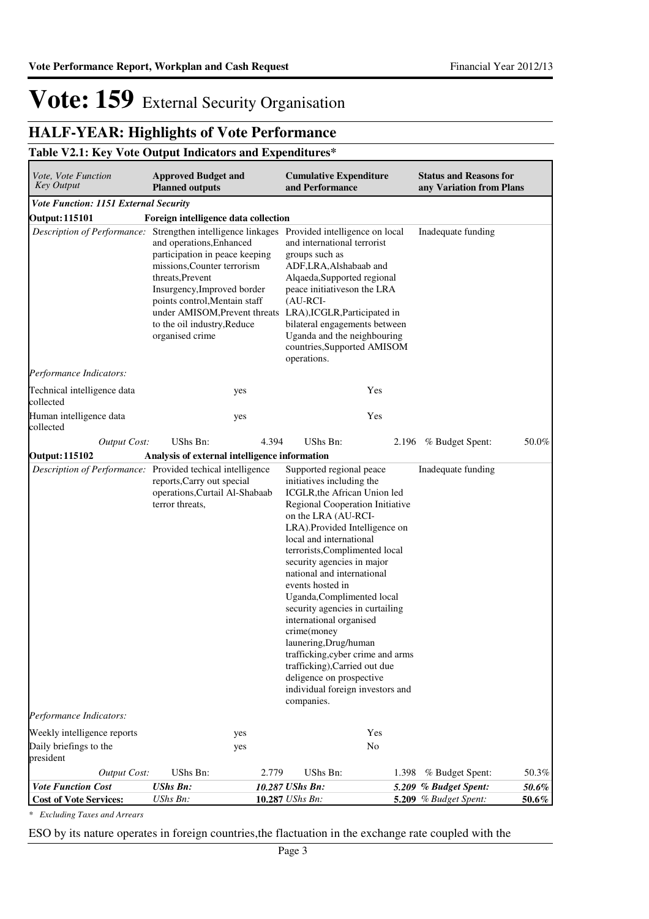## **HALF-YEAR: Highlights of Vote Performance**

### **Table V2.1: Key Vote Output Indicators and Expenditures\***

| Vote, Vote Function<br>Key Output                             | <b>Approved Budget and</b><br><b>Planned outputs</b>                                                                                                                                                                                                                                                                             |       | <b>Cumulative Expenditure</b><br>and Performance                                                                                                                                                                                                                                                                                                                                                                                                                                                                                                                                                                      |       | <b>Status and Reasons for</b><br>any Variation from Plans |                   |  |  |
|---------------------------------------------------------------|----------------------------------------------------------------------------------------------------------------------------------------------------------------------------------------------------------------------------------------------------------------------------------------------------------------------------------|-------|-----------------------------------------------------------------------------------------------------------------------------------------------------------------------------------------------------------------------------------------------------------------------------------------------------------------------------------------------------------------------------------------------------------------------------------------------------------------------------------------------------------------------------------------------------------------------------------------------------------------------|-------|-----------------------------------------------------------|-------------------|--|--|
| Vote Function: 1151 External Security                         |                                                                                                                                                                                                                                                                                                                                  |       |                                                                                                                                                                                                                                                                                                                                                                                                                                                                                                                                                                                                                       |       |                                                           |                   |  |  |
| Foreign intelligence data collection<br><b>Output: 115101</b> |                                                                                                                                                                                                                                                                                                                                  |       |                                                                                                                                                                                                                                                                                                                                                                                                                                                                                                                                                                                                                       |       |                                                           |                   |  |  |
|                                                               | Description of Performance: Strengthen intelligence linkages<br>and operations, Enhanced<br>participation in peace keeping<br>missions, Counter terrorism<br>threats, Prevent<br>Insurgency, Improved border<br>points control, Mentain staff<br>under AMISOM, Prevent threats<br>to the oil industry, Reduce<br>organised crime |       | Provided intelligence on local<br>and international terrorist<br>groups such as<br>ADF, LRA, Alshabaab and<br>Alqaeda, Supported regional<br>peace initiatives on the LRA<br>$(AU-RCI-$<br>LRA), ICGLR, Participated in<br>bilateral engagements between<br>Uganda and the neighbouring<br>countries, Supported AMISOM<br>operations.                                                                                                                                                                                                                                                                                 |       | Inadequate funding                                        |                   |  |  |
| Performance Indicators:                                       |                                                                                                                                                                                                                                                                                                                                  |       |                                                                                                                                                                                                                                                                                                                                                                                                                                                                                                                                                                                                                       |       |                                                           |                   |  |  |
| Technical intelligence data<br>collected                      |                                                                                                                                                                                                                                                                                                                                  | yes   | Yes                                                                                                                                                                                                                                                                                                                                                                                                                                                                                                                                                                                                                   |       |                                                           |                   |  |  |
| Human intelligence data<br>collected                          |                                                                                                                                                                                                                                                                                                                                  | yes   | Yes                                                                                                                                                                                                                                                                                                                                                                                                                                                                                                                                                                                                                   |       |                                                           |                   |  |  |
| <b>Output Cost:</b>                                           | UShs Bn:                                                                                                                                                                                                                                                                                                                         | 4.394 | UShs Bn:                                                                                                                                                                                                                                                                                                                                                                                                                                                                                                                                                                                                              | 2.196 | % Budget Spent:                                           | 50.0%             |  |  |
| <b>Output: 115102</b>                                         | Analysis of external intelligence information                                                                                                                                                                                                                                                                                    |       |                                                                                                                                                                                                                                                                                                                                                                                                                                                                                                                                                                                                                       |       |                                                           |                   |  |  |
| Description of Performance: Provided techical intelligence    | reports, Carry out special<br>operations, Curtail Al-Shabaab<br>terror threats,                                                                                                                                                                                                                                                  |       | Supported regional peace<br>initiatives including the<br>ICGLR, the African Union led<br>Regional Cooperation Initiative<br>on the LRA (AU-RCI-<br>LRA).Provided Intelligence on<br>local and international<br>terrorists, Complimented local<br>security agencies in major<br>national and international<br>events hosted in<br>Uganda, Complimented local<br>security agencies in curtailing<br>international organised<br>crime(money<br>launering, Drug/human<br>trafficking, cyber crime and arms<br>trafficking), Carried out due<br>deligence on prospective<br>individual foreign investors and<br>companies. |       | Inadequate funding                                        |                   |  |  |
| Performance Indicators:                                       |                                                                                                                                                                                                                                                                                                                                  |       |                                                                                                                                                                                                                                                                                                                                                                                                                                                                                                                                                                                                                       |       |                                                           |                   |  |  |
| Weekly intelligence reports                                   |                                                                                                                                                                                                                                                                                                                                  | yes   | Yes                                                                                                                                                                                                                                                                                                                                                                                                                                                                                                                                                                                                                   |       |                                                           |                   |  |  |
| Daily briefings to the<br>president                           |                                                                                                                                                                                                                                                                                                                                  | yes   | No                                                                                                                                                                                                                                                                                                                                                                                                                                                                                                                                                                                                                    |       |                                                           |                   |  |  |
| <b>Output Cost:</b>                                           | UShs Bn:                                                                                                                                                                                                                                                                                                                         | 2.779 | UShs Bn:                                                                                                                                                                                                                                                                                                                                                                                                                                                                                                                                                                                                              | 1.398 | % Budget Spent:                                           | 50.3%             |  |  |
| <b>Vote Function Cost</b><br><b>Cost of Vote Services:</b>    | <b>UShs Bn:</b><br>UShs Bn:                                                                                                                                                                                                                                                                                                      |       | 10.287 UShs Bn:<br>10.287 UShs Bn:                                                                                                                                                                                                                                                                                                                                                                                                                                                                                                                                                                                    |       | 5.209 % Budget Spent:<br>5.209 % Budget Spent:            | 50.6%<br>$50.6\%$ |  |  |

*\* Excluding Taxes and Arrears*

ESO by its nature operates in foreign countries,the flactuation in the exchange rate coupled with the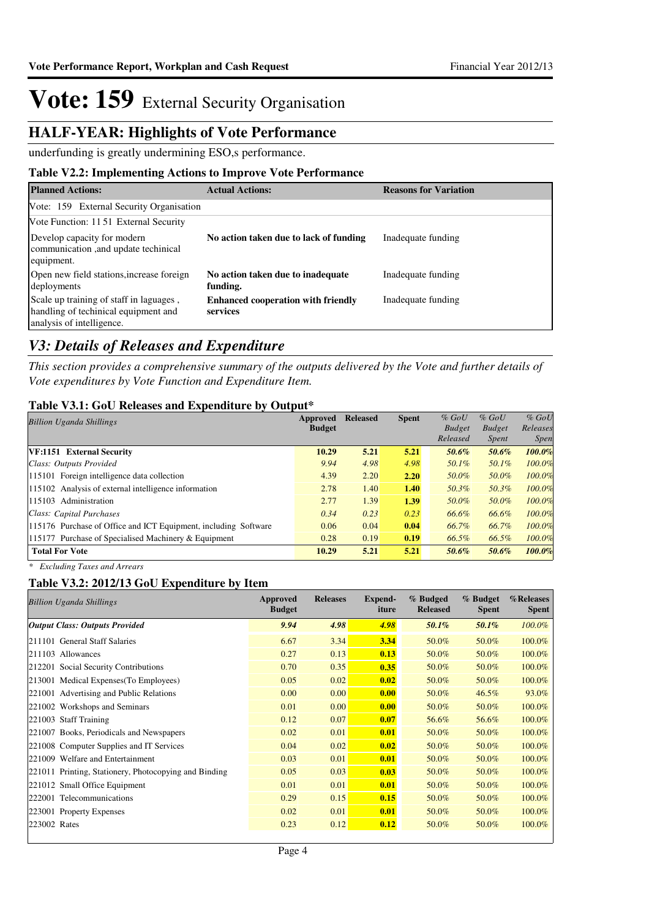## **HALF-YEAR: Highlights of Vote Performance**

underfunding is greatly undermining ESO,s performance.

### **Table V2.2: Implementing Actions to Improve Vote Performance**

| <b>Planned Actions:</b>                                                                                      | <b>Actual Actions:</b>                                | <b>Reasons for Variation</b> |
|--------------------------------------------------------------------------------------------------------------|-------------------------------------------------------|------------------------------|
| Vote: 159 External Security Organisation                                                                     |                                                       |                              |
| Vote Function: 11 51 External Security                                                                       |                                                       |                              |
| Develop capacity for modern<br>communication, and update techinical<br>equipment.                            | No action taken due to lack of funding                | Inadequate funding           |
| Open new field stations, increase foreign<br>deployments                                                     | No action taken due to inadequate<br>funding.         | Inadequate funding           |
| Scale up training of staff in laguages,<br>handling of techinical equipment and<br>analysis of intelligence. | <b>Enhanced cooperation with friendly</b><br>services | Inadequate funding           |

## *V3: Details of Releases and Expenditure*

*This section provides a comprehensive summary of the outputs delivered by the Vote and further details of Vote expenditures by Vote Function and Expenditure Item.*

### **Table V3.1: GoU Releases and Expenditure by Output\***

| <b>Billion Uganda Shillings</b>                                 | Approved      | <b>Released</b> | <b>Spent</b> | $%$ GoU       | $%$ GoU       | $%$ GoU     |
|-----------------------------------------------------------------|---------------|-----------------|--------------|---------------|---------------|-------------|
|                                                                 | <b>Budget</b> |                 |              | <b>Budget</b> | <b>Budget</b> | Releases    |
|                                                                 |               |                 |              | Released      | <i>Spent</i>  | <i>Spen</i> |
| VF:1151 External Security                                       | 10.29         | 5.21            | 5.21         | 50.6%         | 50.6%         | 100.0%      |
| Class: Outputs Provided                                         | 9.94          | 4.98            | 4.98         | 50.1%         | 50.1%         | 100.0%      |
| 115101 Foreign intelligence data collection                     | 4.39          | 2.20            | 2.20         | 50.0%         | 50.0%         | 100.0%      |
| 115102 Analysis of external intelligence information            | 2.78          | 1.40            | 1.40         | 50.3%         | 50.3%         | 100.0%      |
| 115103 Administration                                           | 2.77          | 1.39            | 1.39         | 50.0%         | 50.0%         | 100.0%      |
| Class: Capital Purchases                                        | 0.34          | 0.23            | 0.23         | 66.6%         | 66.6%         | 100.0%      |
| 115176 Purchase of Office and ICT Equipment, including Software | 0.06          | 0.04            | 0.04         | 66.7%         | 66.7%         | 100.0%      |
| 115177 Purchase of Specialised Machinery & Equipment            | 0.28          | 0.19            | 0.19         | 66.5%         | 66.5%         | $100.0\%$   |
| <b>Total For Vote</b>                                           | 10.29         | 5.21            | 5.21         | 50.6%         | 50.6%         | $100.0\%$   |

*\* Excluding Taxes and Arrears*

### **Table V3.2: 2012/13 GoU Expenditure by Item**

| <b>Billion Uganda Shillings</b>                       | Approved<br><b>Budget</b> | <b>Releases</b> | Expend-<br>iture | % Budged<br><b>Released</b> | % Budget<br><b>Spent</b> | %Releases<br><b>Spent</b> |
|-------------------------------------------------------|---------------------------|-----------------|------------------|-----------------------------|--------------------------|---------------------------|
| <b>Output Class: Outputs Provided</b>                 | 9.94                      | 4.98            | 4.98             | 50.1%                       | 50.1%                    | 100.0%                    |
| 211101 General Staff Salaries                         | 6.67                      | 3.34            | 3.34             | 50.0%                       | 50.0%                    | 100.0%                    |
| 211103 Allowances                                     | 0.27                      | 0.13            | 0.13             | 50.0%                       | 50.0%                    | 100.0%                    |
| 212201 Social Security Contributions                  | 0.70                      | 0.35            | 0.35             | 50.0%                       | 50.0%                    | 100.0%                    |
| 213001 Medical Expenses (To Employees)                | 0.05                      | 0.02            | 0.02             | 50.0%                       | 50.0%                    | 100.0%                    |
| 221001 Advertising and Public Relations               | 0.00                      | 0.00            | 0.00             | 50.0%                       | 46.5%                    | 93.0%                     |
| 221002 Workshops and Seminars                         | 0.01                      | 0.00            | 0.00             | 50.0%                       | 50.0%                    | 100.0%                    |
| 221003 Staff Training                                 | 0.12                      | 0.07            | 0.07             | 56.6%                       | 56.6%                    | 100.0%                    |
| 221007 Books, Periodicals and Newspapers              | 0.02                      | 0.01            | 0.01             | 50.0%                       | 50.0%                    | 100.0%                    |
| 221008 Computer Supplies and IT Services              | 0.04                      | 0.02            | 0.02             | 50.0%                       | 50.0%                    | 100.0%                    |
| 221009 Welfare and Entertainment                      | 0.03                      | 0.01            | 0.01             | 50.0%                       | 50.0%                    | 100.0%                    |
| 221011 Printing, Stationery, Photocopying and Binding | 0.05                      | 0.03            | 0.03             | 50.0%                       | 50.0%                    | 100.0%                    |
| 221012 Small Office Equipment                         | 0.01                      | 0.01            | 0.01             | 50.0%                       | 50.0%                    | 100.0%                    |
| 222001 Telecommunications                             | 0.29                      | 0.15            | 0.15             | 50.0%                       | 50.0%                    | 100.0%                    |
| 223001 Property Expenses                              | 0.02                      | 0.01            | 0.01             | 50.0%                       | 50.0%                    | 100.0%                    |
| 223002 Rates                                          | 0.23                      | 0.12            | 0.12             | 50.0%                       | 50.0%                    | 100.0%                    |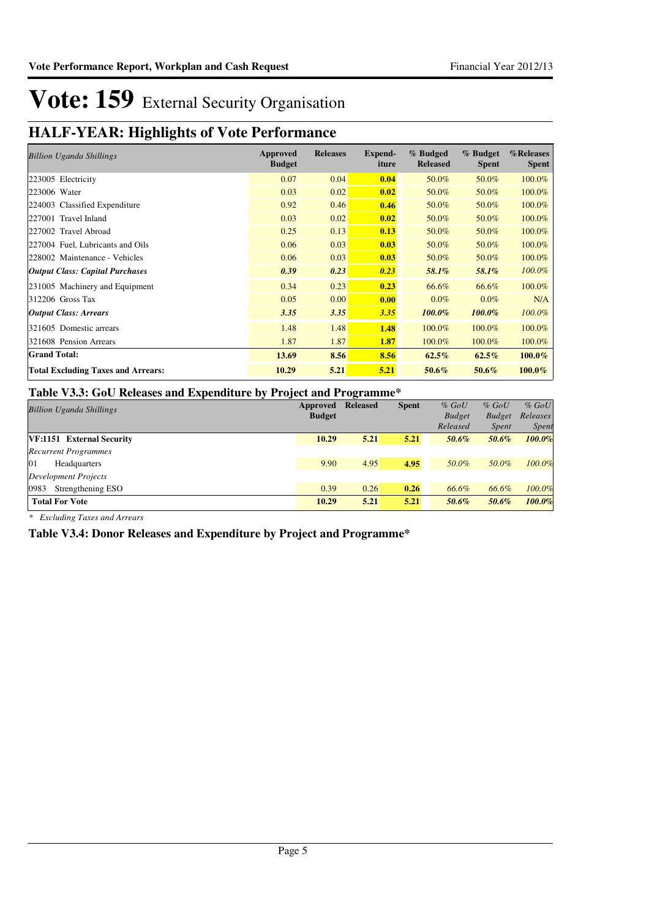## **HALF-YEAR: Highlights of Vote Performance**

| <b>Billion Uganda Shillings</b>           | Approved<br><b>Budget</b> | <b>Releases</b> | Expend-<br>iture | % Budged<br><b>Released</b> | % Budget<br><b>Spent</b> | %Releases<br><b>Spent</b> |
|-------------------------------------------|---------------------------|-----------------|------------------|-----------------------------|--------------------------|---------------------------|
| 223005 Electricity                        | 0.07                      | 0.04            | 0.04             | 50.0%                       | 50.0%                    | 100.0%                    |
| 223006 Water                              | 0.03                      | 0.02            | 0.02             | 50.0%                       | 50.0%                    | 100.0%                    |
| 224003 Classified Expenditure             | 0.92                      | 0.46            | 0.46             | 50.0%                       | 50.0%                    | 100.0%                    |
| 227001 Travel Inland                      | 0.03                      | 0.02            | 0.02             | 50.0%                       | 50.0%                    | 100.0%                    |
| 227002 Travel Abroad                      | 0.25                      | 0.13            | 0.13             | 50.0%                       | 50.0%                    | 100.0%                    |
| 227004 Fuel, Lubricants and Oils          | 0.06                      | 0.03            | 0.03             | 50.0%                       | 50.0%                    | 100.0%                    |
| 228002 Maintenance - Vehicles             | 0.06                      | 0.03            | 0.03             | 50.0%                       | 50.0%                    | 100.0%                    |
| <b>Output Class: Capital Purchases</b>    | 0.39                      | 0.23            | 0.23             | 58.1%                       | 58.1%                    | 100.0%                    |
| 231005 Machinery and Equipment            | 0.34                      | 0.23            | 0.23             | 66.6%                       | 66.6%                    | 100.0%                    |
| $312206$ Gross Tax                        | 0.05                      | 0.00            | 0.00             | $0.0\%$                     | $0.0\%$                  | N/A                       |
| <b>Output Class: Arrears</b>              | 3.35                      | 3.35            | 3.35             | 100.0%                      | $100.0\%$                | 100.0%                    |
| 321605 Domestic arrears                   | 1.48                      | 1.48            | 1.48             | 100.0%                      | 100.0%                   | 100.0%                    |
| 321608 Pension Arrears                    | 1.87                      | 1.87            | 1.87             | 100.0%                      | 100.0%                   | 100.0%                    |
| <b>Grand Total:</b>                       | 13.69                     | 8.56            | 8.56             | $62.5\%$                    | $62.5\%$                 | $100.0\%$                 |
| <b>Total Excluding Taxes and Arrears:</b> | 10.29                     | 5.21            | 5.21             | 50.6%                       | 50.6%                    | $100.0\%$                 |

### **Table V3.3: GoU Releases and Expenditure by Project and Programme\***

| <b>Billion Uganda Shillings</b> | Approved<br><b>Budget</b> | <b>Released</b> | <b>Spent</b> | $%$ GoU<br><b>Budget</b> | $%$ GoU<br><b>Budget</b> | $%$ GoU<br>Releases |
|---------------------------------|---------------------------|-----------------|--------------|--------------------------|--------------------------|---------------------|
|                                 |                           |                 |              | Released                 | <i>Spent</i>             | <i>Spent</i>        |
| VF:1151 External Security       | 10.29                     | 5.21            | 5.21         | 50.6%                    | 50.6%                    | 100.0%              |
| <b>Recurrent Programmes</b>     |                           |                 |              |                          |                          |                     |
| 01<br>Headquarters              | 9.90                      | 4.95            | 4.95         | 50.0%                    | 50.0%                    | 100.0%              |
| Development Projects            |                           |                 |              |                          |                          |                     |
| 0983<br>Strengthening ESO       | 0.39                      | 0.26            | 0.26         | 66.6%                    | 66.6%                    | 100.0%              |
| <b>Total For Vote</b>           | 10.29                     | 5.21            | 5.21         | 50.6%                    | 50.6%                    | 100.0%              |

*\* Excluding Taxes and Arrears*

**Table V3.4: Donor Releases and Expenditure by Project and Programme\***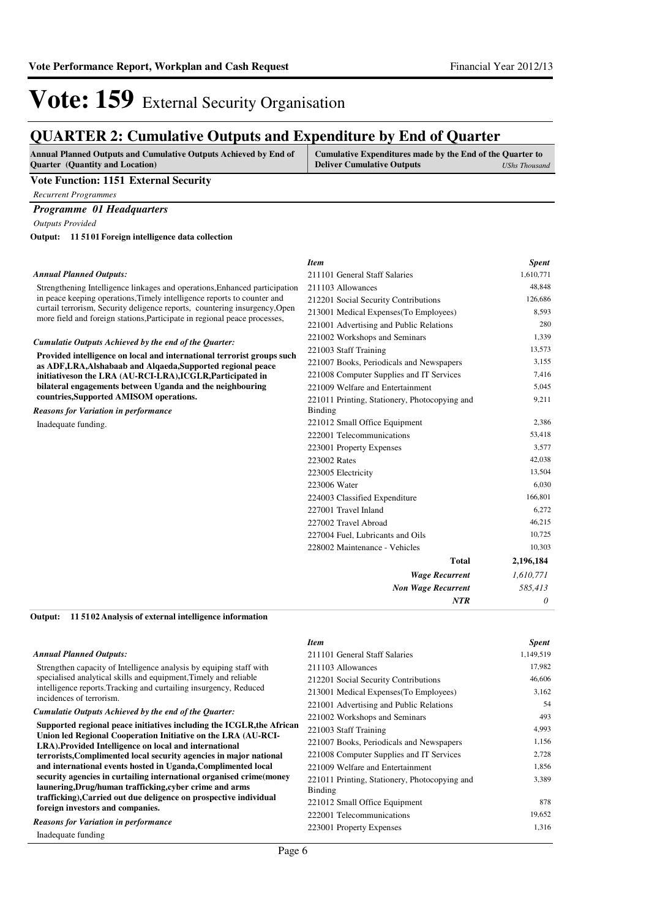# Vote: 159 External Security Organisation

## **QUARTER 2: Cumulative Outputs and Expenditure by End of Quarter**

| <b>Annual Planned Outputs and Cumulative Outputs Achieved by End of</b> | Cumulative Expenditures made by the End of the Quarter to |               |
|-------------------------------------------------------------------------|-----------------------------------------------------------|---------------|
| <b>Ouarter</b> (Quantity and Location)                                  | <b>Deliver Cumulative Outputs</b>                         | UShs Thousand |
|                                                                         |                                                           |               |

### **Vote Function: 1151 External Security**

*Recurrent Programmes*

### *Programme 01 Headquarters*

*Outputs Provided*

**11 5101 Foreign intelligence data collection Output:**

#### *Annual Planned Outputs:*

Strengthening Intelligence linkages and operations, Enhanced participati in peace keeping operations,Timely intelligence reports to counter and curtail terrorism, Security deligence reports, countering insurgency, Ope more field and foreign stations,Participate in regional peace processes,

#### *Cumulatie Outputs Achieved by the end of the Quarter:*

**Provided intelligence on local and international terrorist groups such as ADF,LRA,Alshabaab and Alqaeda,Supported regional peace initiativeson the LRA (AU-RCI-LRA),ICGLR,Participated in bilateral engagements between Uganda and the neighbouring countries,Supported AMISOM operations.**

*Reasons for Variation in performance*

Inadequate funding.

|     | <b>Item</b>                                                     | <b>Spent</b> |
|-----|-----------------------------------------------------------------|--------------|
|     | 211101 General Staff Salaries                                   | 1,610,771    |
| ion | 211103 Allowances                                               | 48,848       |
|     | 212201 Social Security Contributions                            | 126,686      |
| en  | 213001 Medical Expenses (To Employees)                          | 8,593        |
|     | 221001 Advertising and Public Relations                         | 280          |
|     | 221002 Workshops and Seminars                                   | 1,339        |
| ch  | 221003 Staff Training                                           | 13,573       |
|     | 221007 Books, Periodicals and Newspapers                        | 3,155        |
|     | 221008 Computer Supplies and IT Services                        | 7,416        |
|     | 221009 Welfare and Entertainment                                | 5,045        |
|     | 221011 Printing, Stationery, Photocopying and<br><b>Binding</b> | 9,211        |
|     | 221012 Small Office Equipment                                   | 2,386        |
|     | 222001 Telecommunications                                       | 53,418       |
|     | 223001 Property Expenses                                        | 3,577        |
|     | 223002 Rates                                                    | 42,038       |
|     | 223005 Electricity                                              | 13,504       |
|     | 223006 Water                                                    | 6,030        |
|     | 224003 Classified Expenditure                                   | 166,801      |
|     | 227001 Travel Inland                                            | 6,272        |
|     | 227002 Travel Abroad                                            | 46,215       |
|     | 227004 Fuel, Lubricants and Oils                                | 10,725       |
|     | 228002 Maintenance - Vehicles                                   | 10,303       |
|     | <b>Total</b>                                                    | 2,196,184    |
|     | <b>Wage Recurrent</b>                                           | 1,610,771    |
|     | <b>Non Wage Recurrent</b>                                       | 585,413      |
|     | <b>NTR</b>                                                      | 0            |

#### **11 5102 Analysis of external intelligence information Output:**

|                                                                                                                                | <b>Item</b>                                              | <b>Spent</b> |
|--------------------------------------------------------------------------------------------------------------------------------|----------------------------------------------------------|--------------|
| <b>Annual Planned Outputs:</b>                                                                                                 | 211101 General Staff Salaries                            | 1,149,519    |
| Strengthen capacity of Intelligence analysis by equiping staff with                                                            | 211103 Allowances                                        | 17,982       |
| specialised analytical skills and equipment, Timely and reliable                                                               | 212201 Social Security Contributions                     | 46,606       |
| intelligence reports. Tracking and curtailing insurgency, Reduced                                                              | 213001 Medical Expenses (To Employees)                   | 3,162        |
| incidences of terrorism.                                                                                                       | 221001 Advertising and Public Relations                  | 54           |
| Cumulatie Outputs Achieved by the end of the Quarter:                                                                          | 221002 Workshops and Seminars                            | 493          |
| Supported regional peace initiatives including the ICGLR, the African                                                          | 221003 Staff Training                                    | 4,993        |
| Union led Regional Cooperation Initiative on the LRA (AU-RCI-<br>LRA). Provided Intelligence on local and international        | 221007 Books, Periodicals and Newspapers                 | 1,156        |
| terrorists, Complimented local security agencies in major national                                                             | 221008 Computer Supplies and IT Services                 | 2,728        |
| and international events hosted in Uganda, Complimented local                                                                  | 221009 Welfare and Entertainment                         | 1,856        |
| security agencies in curtailing international organised crime(money<br>launering, Drug/human trafficking, cyber crime and arms | 221011 Printing, Stationery, Photocopying and<br>Binding | 3,389        |
| trafficking), Carried out due deligence on prospective individual                                                              | 221012 Small Office Equipment                            | 878          |
| foreign investors and companies.                                                                                               | 222001 Telecommunications                                | 19,652       |
| <b>Reasons for Variation in performance</b>                                                                                    | 223001 Property Expenses                                 | 1,316        |
| Inadequate funding                                                                                                             |                                                          |              |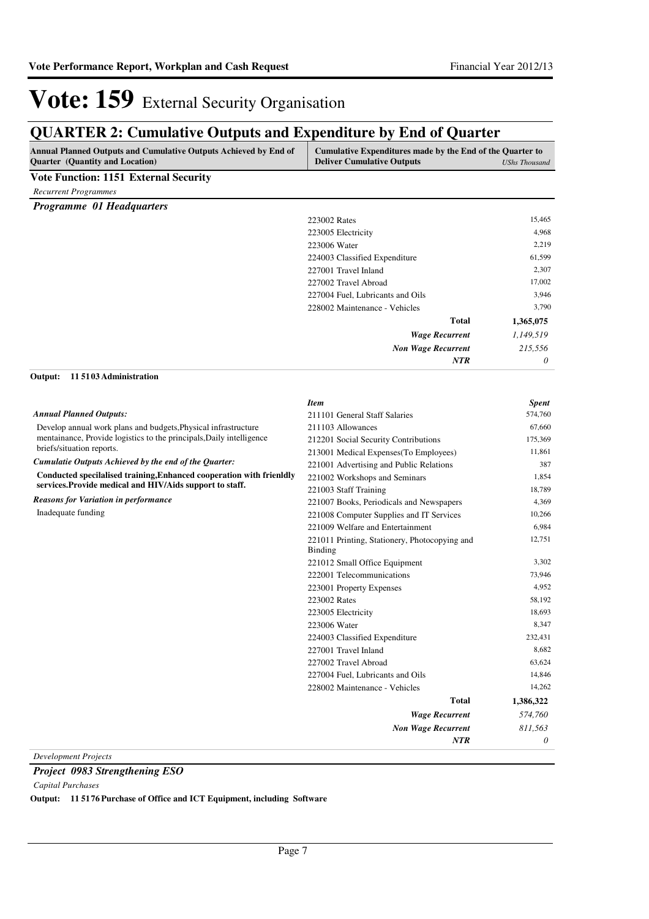## **QUARTER 2: Cumulative Outputs and Expenditure by End of Quarter**

| Annual Planned Outputs and Cumulative Outputs Achieved by End of<br>Quarter (Quantity and Location) | Cumulative Expenditures made by the End of the Quarter to<br><b>Deliver Cumulative Outputs</b> | <b>UShs Thousand</b> |
|-----------------------------------------------------------------------------------------------------|------------------------------------------------------------------------------------------------|----------------------|
| <b>Vote Function: 1151 External Security</b>                                                        |                                                                                                |                      |
| <b>Recurrent Programmes</b>                                                                         |                                                                                                |                      |
| <b>Programme 01 Headquarters</b>                                                                    |                                                                                                |                      |
|                                                                                                     | 223002 Rates                                                                                   | 15,465               |
|                                                                                                     | 223005 Electricity                                                                             | 4,968                |
|                                                                                                     | 223006 Water                                                                                   | 2,219                |
|                                                                                                     | 224003 Classified Expenditure                                                                  | 61,599               |
|                                                                                                     | 227001 Travel Inland                                                                           | 2,307                |
|                                                                                                     | 227002 Travel Abroad                                                                           | 17,002               |
|                                                                                                     | 227004 Fuel, Lubricants and Oils                                                               | 3,946                |
|                                                                                                     | 228002 Maintenance - Vehicles                                                                  | 3,790                |
|                                                                                                     | <b>Total</b>                                                                                   | 1,365,075            |
|                                                                                                     | <b>Wage Recurrent</b>                                                                          | 1,149,519            |
|                                                                                                     | <b>Non Wage Recurrent</b>                                                                      | 215,556              |
|                                                                                                     | <b>NTR</b>                                                                                     | 0                    |
| 115103 Administration<br>Output:                                                                    |                                                                                                |                      |
|                                                                                                     | <b>Item</b>                                                                                    | <b>Spent</b>         |
| <b>Annual Planned Outputs:</b>                                                                      | 211101 General Staff Salaries                                                                  | 574,760              |
| Develop annual work plans and budgets, Physical infrastructure                                      | 211103 Allowances                                                                              | 67,660               |
| mentainance, Provide logistics to the principals, Daily intelligence                                | 212201 Social Security Contributions                                                           | 175,369              |
| briefs/situation reports.                                                                           | 213001 Medical Expenses(To Employees)                                                          | 11,861               |
| Cumulatie Outputs Achieved by the end of the Quarter:                                               | 221001 Advertising and Public Relations                                                        | 387                  |
| Conducted specilalised training, Enhanced cooperation with frienldly                                | 221002 Workshops and Seminars                                                                  | 1,854                |
| services. Provide medical and HIV/Aids support to staff.                                            | 221003 Staff Training                                                                          | 18,789               |
| <b>Reasons for Variation in performance</b>                                                         | 221007 Books, Periodicals and Newspapers                                                       | 4,369                |
| Inadequate funding                                                                                  | 221008 Computer Supplies and IT Services                                                       | 10,266               |
|                                                                                                     | 221009 Welfare and Entertainment                                                               | 6,984                |
|                                                                                                     | 221011 Printing, Stationery, Photocopying and                                                  | 12,751               |
|                                                                                                     | <b>Binding</b>                                                                                 |                      |
|                                                                                                     | 221012 Small Office Equipment                                                                  | 3,302                |
|                                                                                                     | 222001 Telecommunications                                                                      | 73,946               |
|                                                                                                     | 223001 Property Expenses                                                                       | 4,952                |
|                                                                                                     | 223002 Rates                                                                                   | 58,192               |
|                                                                                                     | 223005 Electricity                                                                             | 18,693               |
|                                                                                                     | 223006 Water                                                                                   | 8,347                |
|                                                                                                     | 224003 Classified Expenditure                                                                  | 232,431              |
|                                                                                                     | 227001 Travel Inland                                                                           | 8,682                |
|                                                                                                     | 227002 Travel Abroad                                                                           | 63,624               |
|                                                                                                     | 227004 Fuel, Lubricants and Oils                                                               | 14,846               |
|                                                                                                     | 228002 Maintenance - Vehicles                                                                  | 14,262               |
|                                                                                                     | <b>Total</b>                                                                                   | 1,386,322            |
|                                                                                                     | <b>Wage Recurrent</b>                                                                          | 574,760              |
|                                                                                                     | <b>Non Wage Recurrent</b>                                                                      | 811,563              |
|                                                                                                     | NTR                                                                                            | 0                    |
| <b>Development Projects</b>                                                                         |                                                                                                |                      |

*Project 0983 Strengthening ESO*

*Capital Purchases*

**Output: 11 5176 Purchase of Office and ICT Equipment, including Software**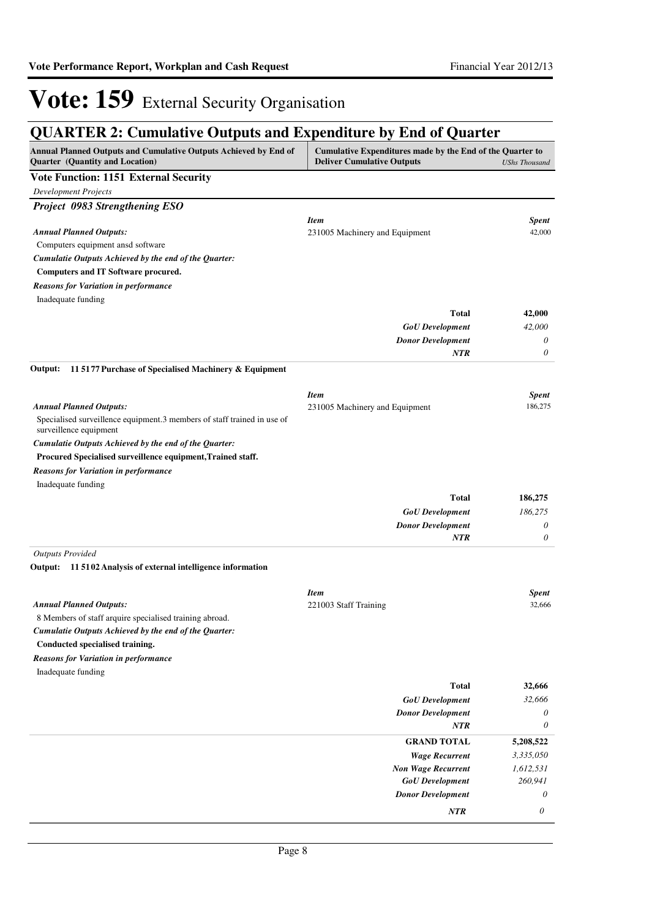## **QUARTER 2: Cumulative Outputs and Expenditure by End of Quarter**

| <b>Development Projects</b><br><b>Item</b><br><b>Spent</b><br>42,000<br>231005 Machinery and Equipment<br>Computers equipment ansd software<br>Cumulatie Outputs Achieved by the end of the Quarter:<br>Computers and IT Software procured.<br><b>Reasons for Variation in performance</b><br>Inadequate funding<br><b>Total</b><br>42,000<br><b>GoU</b> Development<br>42,000<br><b>Donor Development</b><br>0<br><b>NTR</b><br>0<br>115177 Purchase of Specialised Machinery & Equipment<br><b>Item</b><br><b>Spent</b><br><b>Annual Planned Outputs:</b><br>186,275<br>231005 Machinery and Equipment<br>Specialised surveillence equipment.3 members of staff trained in use of<br>surveillence equipment<br>Cumulatie Outputs Achieved by the end of the Quarter:<br>Procured Specialised surveillence equipment, Trained staff.<br><b>Reasons for Variation in performance</b><br>Inadequate funding<br><b>Total</b><br>186,275<br>186,275<br><b>GoU</b> Development<br><b>Donor Development</b><br>0<br>0<br><b>NTR</b><br><b>Outputs Provided</b><br>115102 Analysis of external intelligence information<br><b>Item</b><br><b>Spent</b><br>32,666<br>221003 Staff Training<br>8 Members of staff arquire specialised training abroad.<br>Cumulatie Outputs Achieved by the end of the Quarter:<br>Conducted specialised training.<br>Inadequate funding<br><b>Total</b><br>32,666<br>32,666<br><b>GoU</b> Development<br><b>Donor Development</b><br>0<br>NTR<br>0<br><b>GRAND TOTAL</b><br>5,208,522<br><b>Wage Recurrent</b><br>3,335,050<br><b>Non Wage Recurrent</b><br>1,612,531<br>260,941<br><b>GoU</b> Development<br><b>Donor Development</b><br>0<br>NTR<br>0 | <b>Annual Planned Outputs and Cumulative Outputs Achieved by End of</b><br>Quarter (Quantity and Location) | Cumulative Expenditures made by the End of the Quarter to<br><b>Deliver Cumulative Outputs</b><br><b>UShs Thousand</b> |  |
|----------------------------------------------------------------------------------------------------------------------------------------------------------------------------------------------------------------------------------------------------------------------------------------------------------------------------------------------------------------------------------------------------------------------------------------------------------------------------------------------------------------------------------------------------------------------------------------------------------------------------------------------------------------------------------------------------------------------------------------------------------------------------------------------------------------------------------------------------------------------------------------------------------------------------------------------------------------------------------------------------------------------------------------------------------------------------------------------------------------------------------------------------------------------------------------------------------------------------------------------------------------------------------------------------------------------------------------------------------------------------------------------------------------------------------------------------------------------------------------------------------------------------------------------------------------------------------------------------------------------------------------------------------------------------------|------------------------------------------------------------------------------------------------------------|------------------------------------------------------------------------------------------------------------------------|--|
|                                                                                                                                                                                                                                                                                                                                                                                                                                                                                                                                                                                                                                                                                                                                                                                                                                                                                                                                                                                                                                                                                                                                                                                                                                                                                                                                                                                                                                                                                                                                                                                                                                                                                  | <b>Vote Function: 1151 External Security</b>                                                               |                                                                                                                        |  |
|                                                                                                                                                                                                                                                                                                                                                                                                                                                                                                                                                                                                                                                                                                                                                                                                                                                                                                                                                                                                                                                                                                                                                                                                                                                                                                                                                                                                                                                                                                                                                                                                                                                                                  |                                                                                                            |                                                                                                                        |  |
|                                                                                                                                                                                                                                                                                                                                                                                                                                                                                                                                                                                                                                                                                                                                                                                                                                                                                                                                                                                                                                                                                                                                                                                                                                                                                                                                                                                                                                                                                                                                                                                                                                                                                  | Project 0983 Strengthening ESO                                                                             |                                                                                                                        |  |
|                                                                                                                                                                                                                                                                                                                                                                                                                                                                                                                                                                                                                                                                                                                                                                                                                                                                                                                                                                                                                                                                                                                                                                                                                                                                                                                                                                                                                                                                                                                                                                                                                                                                                  |                                                                                                            |                                                                                                                        |  |
|                                                                                                                                                                                                                                                                                                                                                                                                                                                                                                                                                                                                                                                                                                                                                                                                                                                                                                                                                                                                                                                                                                                                                                                                                                                                                                                                                                                                                                                                                                                                                                                                                                                                                  | <b>Annual Planned Outputs:</b>                                                                             |                                                                                                                        |  |
|                                                                                                                                                                                                                                                                                                                                                                                                                                                                                                                                                                                                                                                                                                                                                                                                                                                                                                                                                                                                                                                                                                                                                                                                                                                                                                                                                                                                                                                                                                                                                                                                                                                                                  |                                                                                                            |                                                                                                                        |  |
|                                                                                                                                                                                                                                                                                                                                                                                                                                                                                                                                                                                                                                                                                                                                                                                                                                                                                                                                                                                                                                                                                                                                                                                                                                                                                                                                                                                                                                                                                                                                                                                                                                                                                  |                                                                                                            |                                                                                                                        |  |
|                                                                                                                                                                                                                                                                                                                                                                                                                                                                                                                                                                                                                                                                                                                                                                                                                                                                                                                                                                                                                                                                                                                                                                                                                                                                                                                                                                                                                                                                                                                                                                                                                                                                                  |                                                                                                            |                                                                                                                        |  |
|                                                                                                                                                                                                                                                                                                                                                                                                                                                                                                                                                                                                                                                                                                                                                                                                                                                                                                                                                                                                                                                                                                                                                                                                                                                                                                                                                                                                                                                                                                                                                                                                                                                                                  |                                                                                                            |                                                                                                                        |  |
|                                                                                                                                                                                                                                                                                                                                                                                                                                                                                                                                                                                                                                                                                                                                                                                                                                                                                                                                                                                                                                                                                                                                                                                                                                                                                                                                                                                                                                                                                                                                                                                                                                                                                  |                                                                                                            |                                                                                                                        |  |
|                                                                                                                                                                                                                                                                                                                                                                                                                                                                                                                                                                                                                                                                                                                                                                                                                                                                                                                                                                                                                                                                                                                                                                                                                                                                                                                                                                                                                                                                                                                                                                                                                                                                                  |                                                                                                            |                                                                                                                        |  |
|                                                                                                                                                                                                                                                                                                                                                                                                                                                                                                                                                                                                                                                                                                                                                                                                                                                                                                                                                                                                                                                                                                                                                                                                                                                                                                                                                                                                                                                                                                                                                                                                                                                                                  |                                                                                                            |                                                                                                                        |  |
|                                                                                                                                                                                                                                                                                                                                                                                                                                                                                                                                                                                                                                                                                                                                                                                                                                                                                                                                                                                                                                                                                                                                                                                                                                                                                                                                                                                                                                                                                                                                                                                                                                                                                  |                                                                                                            |                                                                                                                        |  |
|                                                                                                                                                                                                                                                                                                                                                                                                                                                                                                                                                                                                                                                                                                                                                                                                                                                                                                                                                                                                                                                                                                                                                                                                                                                                                                                                                                                                                                                                                                                                                                                                                                                                                  |                                                                                                            |                                                                                                                        |  |
|                                                                                                                                                                                                                                                                                                                                                                                                                                                                                                                                                                                                                                                                                                                                                                                                                                                                                                                                                                                                                                                                                                                                                                                                                                                                                                                                                                                                                                                                                                                                                                                                                                                                                  | Output:                                                                                                    |                                                                                                                        |  |
|                                                                                                                                                                                                                                                                                                                                                                                                                                                                                                                                                                                                                                                                                                                                                                                                                                                                                                                                                                                                                                                                                                                                                                                                                                                                                                                                                                                                                                                                                                                                                                                                                                                                                  |                                                                                                            |                                                                                                                        |  |
|                                                                                                                                                                                                                                                                                                                                                                                                                                                                                                                                                                                                                                                                                                                                                                                                                                                                                                                                                                                                                                                                                                                                                                                                                                                                                                                                                                                                                                                                                                                                                                                                                                                                                  |                                                                                                            |                                                                                                                        |  |
|                                                                                                                                                                                                                                                                                                                                                                                                                                                                                                                                                                                                                                                                                                                                                                                                                                                                                                                                                                                                                                                                                                                                                                                                                                                                                                                                                                                                                                                                                                                                                                                                                                                                                  |                                                                                                            |                                                                                                                        |  |
|                                                                                                                                                                                                                                                                                                                                                                                                                                                                                                                                                                                                                                                                                                                                                                                                                                                                                                                                                                                                                                                                                                                                                                                                                                                                                                                                                                                                                                                                                                                                                                                                                                                                                  |                                                                                                            |                                                                                                                        |  |
|                                                                                                                                                                                                                                                                                                                                                                                                                                                                                                                                                                                                                                                                                                                                                                                                                                                                                                                                                                                                                                                                                                                                                                                                                                                                                                                                                                                                                                                                                                                                                                                                                                                                                  |                                                                                                            |                                                                                                                        |  |
|                                                                                                                                                                                                                                                                                                                                                                                                                                                                                                                                                                                                                                                                                                                                                                                                                                                                                                                                                                                                                                                                                                                                                                                                                                                                                                                                                                                                                                                                                                                                                                                                                                                                                  |                                                                                                            |                                                                                                                        |  |
|                                                                                                                                                                                                                                                                                                                                                                                                                                                                                                                                                                                                                                                                                                                                                                                                                                                                                                                                                                                                                                                                                                                                                                                                                                                                                                                                                                                                                                                                                                                                                                                                                                                                                  |                                                                                                            |                                                                                                                        |  |
|                                                                                                                                                                                                                                                                                                                                                                                                                                                                                                                                                                                                                                                                                                                                                                                                                                                                                                                                                                                                                                                                                                                                                                                                                                                                                                                                                                                                                                                                                                                                                                                                                                                                                  |                                                                                                            |                                                                                                                        |  |
|                                                                                                                                                                                                                                                                                                                                                                                                                                                                                                                                                                                                                                                                                                                                                                                                                                                                                                                                                                                                                                                                                                                                                                                                                                                                                                                                                                                                                                                                                                                                                                                                                                                                                  |                                                                                                            |                                                                                                                        |  |
|                                                                                                                                                                                                                                                                                                                                                                                                                                                                                                                                                                                                                                                                                                                                                                                                                                                                                                                                                                                                                                                                                                                                                                                                                                                                                                                                                                                                                                                                                                                                                                                                                                                                                  |                                                                                                            |                                                                                                                        |  |
|                                                                                                                                                                                                                                                                                                                                                                                                                                                                                                                                                                                                                                                                                                                                                                                                                                                                                                                                                                                                                                                                                                                                                                                                                                                                                                                                                                                                                                                                                                                                                                                                                                                                                  |                                                                                                            |                                                                                                                        |  |
|                                                                                                                                                                                                                                                                                                                                                                                                                                                                                                                                                                                                                                                                                                                                                                                                                                                                                                                                                                                                                                                                                                                                                                                                                                                                                                                                                                                                                                                                                                                                                                                                                                                                                  |                                                                                                            |                                                                                                                        |  |
|                                                                                                                                                                                                                                                                                                                                                                                                                                                                                                                                                                                                                                                                                                                                                                                                                                                                                                                                                                                                                                                                                                                                                                                                                                                                                                                                                                                                                                                                                                                                                                                                                                                                                  |                                                                                                            |                                                                                                                        |  |
|                                                                                                                                                                                                                                                                                                                                                                                                                                                                                                                                                                                                                                                                                                                                                                                                                                                                                                                                                                                                                                                                                                                                                                                                                                                                                                                                                                                                                                                                                                                                                                                                                                                                                  | Output:                                                                                                    |                                                                                                                        |  |
|                                                                                                                                                                                                                                                                                                                                                                                                                                                                                                                                                                                                                                                                                                                                                                                                                                                                                                                                                                                                                                                                                                                                                                                                                                                                                                                                                                                                                                                                                                                                                                                                                                                                                  |                                                                                                            |                                                                                                                        |  |
|                                                                                                                                                                                                                                                                                                                                                                                                                                                                                                                                                                                                                                                                                                                                                                                                                                                                                                                                                                                                                                                                                                                                                                                                                                                                                                                                                                                                                                                                                                                                                                                                                                                                                  | <b>Annual Planned Outputs:</b>                                                                             |                                                                                                                        |  |
|                                                                                                                                                                                                                                                                                                                                                                                                                                                                                                                                                                                                                                                                                                                                                                                                                                                                                                                                                                                                                                                                                                                                                                                                                                                                                                                                                                                                                                                                                                                                                                                                                                                                                  |                                                                                                            |                                                                                                                        |  |
|                                                                                                                                                                                                                                                                                                                                                                                                                                                                                                                                                                                                                                                                                                                                                                                                                                                                                                                                                                                                                                                                                                                                                                                                                                                                                                                                                                                                                                                                                                                                                                                                                                                                                  |                                                                                                            |                                                                                                                        |  |
|                                                                                                                                                                                                                                                                                                                                                                                                                                                                                                                                                                                                                                                                                                                                                                                                                                                                                                                                                                                                                                                                                                                                                                                                                                                                                                                                                                                                                                                                                                                                                                                                                                                                                  |                                                                                                            |                                                                                                                        |  |
|                                                                                                                                                                                                                                                                                                                                                                                                                                                                                                                                                                                                                                                                                                                                                                                                                                                                                                                                                                                                                                                                                                                                                                                                                                                                                                                                                                                                                                                                                                                                                                                                                                                                                  | <b>Reasons for Variation in performance</b>                                                                |                                                                                                                        |  |
|                                                                                                                                                                                                                                                                                                                                                                                                                                                                                                                                                                                                                                                                                                                                                                                                                                                                                                                                                                                                                                                                                                                                                                                                                                                                                                                                                                                                                                                                                                                                                                                                                                                                                  |                                                                                                            |                                                                                                                        |  |
|                                                                                                                                                                                                                                                                                                                                                                                                                                                                                                                                                                                                                                                                                                                                                                                                                                                                                                                                                                                                                                                                                                                                                                                                                                                                                                                                                                                                                                                                                                                                                                                                                                                                                  |                                                                                                            |                                                                                                                        |  |
|                                                                                                                                                                                                                                                                                                                                                                                                                                                                                                                                                                                                                                                                                                                                                                                                                                                                                                                                                                                                                                                                                                                                                                                                                                                                                                                                                                                                                                                                                                                                                                                                                                                                                  |                                                                                                            |                                                                                                                        |  |
|                                                                                                                                                                                                                                                                                                                                                                                                                                                                                                                                                                                                                                                                                                                                                                                                                                                                                                                                                                                                                                                                                                                                                                                                                                                                                                                                                                                                                                                                                                                                                                                                                                                                                  |                                                                                                            |                                                                                                                        |  |
|                                                                                                                                                                                                                                                                                                                                                                                                                                                                                                                                                                                                                                                                                                                                                                                                                                                                                                                                                                                                                                                                                                                                                                                                                                                                                                                                                                                                                                                                                                                                                                                                                                                                                  |                                                                                                            |                                                                                                                        |  |
|                                                                                                                                                                                                                                                                                                                                                                                                                                                                                                                                                                                                                                                                                                                                                                                                                                                                                                                                                                                                                                                                                                                                                                                                                                                                                                                                                                                                                                                                                                                                                                                                                                                                                  |                                                                                                            |                                                                                                                        |  |
|                                                                                                                                                                                                                                                                                                                                                                                                                                                                                                                                                                                                                                                                                                                                                                                                                                                                                                                                                                                                                                                                                                                                                                                                                                                                                                                                                                                                                                                                                                                                                                                                                                                                                  |                                                                                                            |                                                                                                                        |  |
|                                                                                                                                                                                                                                                                                                                                                                                                                                                                                                                                                                                                                                                                                                                                                                                                                                                                                                                                                                                                                                                                                                                                                                                                                                                                                                                                                                                                                                                                                                                                                                                                                                                                                  |                                                                                                            |                                                                                                                        |  |
|                                                                                                                                                                                                                                                                                                                                                                                                                                                                                                                                                                                                                                                                                                                                                                                                                                                                                                                                                                                                                                                                                                                                                                                                                                                                                                                                                                                                                                                                                                                                                                                                                                                                                  |                                                                                                            |                                                                                                                        |  |
|                                                                                                                                                                                                                                                                                                                                                                                                                                                                                                                                                                                                                                                                                                                                                                                                                                                                                                                                                                                                                                                                                                                                                                                                                                                                                                                                                                                                                                                                                                                                                                                                                                                                                  |                                                                                                            |                                                                                                                        |  |
|                                                                                                                                                                                                                                                                                                                                                                                                                                                                                                                                                                                                                                                                                                                                                                                                                                                                                                                                                                                                                                                                                                                                                                                                                                                                                                                                                                                                                                                                                                                                                                                                                                                                                  |                                                                                                            |                                                                                                                        |  |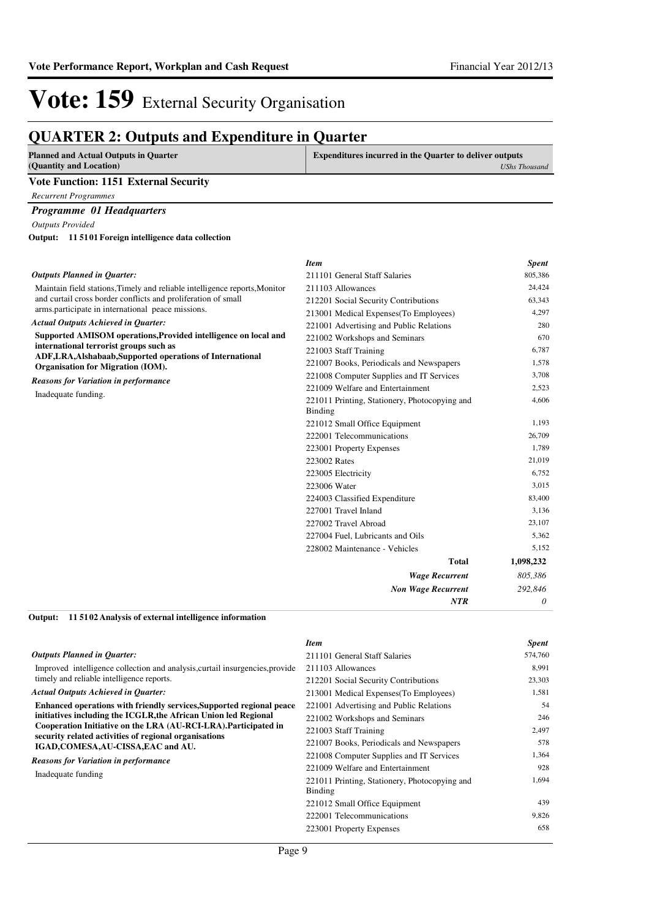## **QUARTER 2: Outputs and Expenditure in Quarter**

| <b>Planned and Actual Outputs in Quarter</b>         | <b>Expenditures incurred in the Quarter to deliver outputs</b> |               |
|------------------------------------------------------|----------------------------------------------------------------|---------------|
| (Quantity and Location)                              |                                                                | UShs Thousand |
| <b>Vote Function: 1151 External Security</b>         |                                                                |               |
| <b>Recurrent Programmes</b>                          |                                                                |               |
| <b>Programme 01 Headquarters</b>                     |                                                                |               |
| <b>Outputs Provided</b>                              |                                                                |               |
| Output: 11 5101 Foreign intelligence data collection |                                                                |               |
|                                                      | <b>Item</b>                                                    | <b>Spent</b>  |
| <b>Outputs Planned in Ouarter:</b>                   | 211101 General Staff Salaries                                  | 805.386       |

| Maintain field stations, Timely and reliable intelligence reports, Monitor                                                                                            | 211103 Allowances                                        | 24,424    |
|-----------------------------------------------------------------------------------------------------------------------------------------------------------------------|----------------------------------------------------------|-----------|
| and curtail cross border conflicts and proliferation of small                                                                                                         | 212201 Social Security Contributions                     | 63,343    |
| arms.participate in international peace missions.                                                                                                                     | 213001 Medical Expenses (To Employees)                   | 4,297     |
| <b>Actual Outputs Achieved in Quarter:</b>                                                                                                                            | 221001 Advertising and Public Relations                  | 280       |
| Supported AMISOM operations, Provided intelligence on local and                                                                                                       | 221002 Workshops and Seminars                            | 670       |
| international terrorist groups such as                                                                                                                                | 221003 Staff Training                                    | 6,787     |
| ADF, LRA, Alshabaab, Supported operations of International<br>Organisation for Migration (IOM).<br><b>Reasons for Variation in performance</b><br>Inadequate funding. | 221007 Books, Periodicals and Newspapers                 | 1,578     |
|                                                                                                                                                                       | 221008 Computer Supplies and IT Services                 | 3,708     |
|                                                                                                                                                                       | 221009 Welfare and Entertainment                         | 2,523     |
|                                                                                                                                                                       | 221011 Printing, Stationery, Photocopying and<br>Binding | 4,606     |
|                                                                                                                                                                       | 221012 Small Office Equipment                            | 1,193     |
|                                                                                                                                                                       | 222001 Telecommunications                                | 26,709    |
|                                                                                                                                                                       | 223001 Property Expenses                                 | 1,789     |
|                                                                                                                                                                       | 223002 Rates                                             | 21,019    |
|                                                                                                                                                                       | 223005 Electricity                                       | 6,752     |
|                                                                                                                                                                       | 223006 Water                                             | 3,015     |
|                                                                                                                                                                       | 224003 Classified Expenditure                            | 83,400    |
|                                                                                                                                                                       | 227001 Travel Inland                                     | 3,136     |
|                                                                                                                                                                       | 227002 Travel Abroad                                     | 23,107    |
|                                                                                                                                                                       | 227004 Fuel, Lubricants and Oils                         | 5,362     |
|                                                                                                                                                                       | 228002 Maintenance - Vehicles                            | 5,152     |
|                                                                                                                                                                       | <b>Total</b>                                             | 1,098,232 |
|                                                                                                                                                                       | <b>Wage Recurrent</b>                                    | 805,386   |
|                                                                                                                                                                       | <b>Non Wage Recurrent</b>                                | 292,846   |
|                                                                                                                                                                       | <b>NTR</b>                                               | 0         |

**11 5102 Analysis of external intelligence information Output:**

|                                                                                                                                    | <b>Item</b>                                   | <b>Spent</b> |
|------------------------------------------------------------------------------------------------------------------------------------|-----------------------------------------------|--------------|
| <b>Outputs Planned in Quarter:</b>                                                                                                 | 211101 General Staff Salaries                 | 574,760      |
| Improved intelligence collection and analysis, curtail insurgencies, provide                                                       | 211103 Allowances                             | 8.991        |
| timely and reliable intelligence reports.                                                                                          | 212201 Social Security Contributions          | 23,303       |
| <b>Actual Outputs Achieved in Quarter:</b>                                                                                         | 213001 Medical Expenses (To Employees)        | 1,581        |
| Enhanced operations with friendly services, Supported regional peace                                                               | 221001 Advertising and Public Relations       | 54           |
| initiatives including the ICGLR, the African Union led Regional<br>Cooperation Initiative on the LRA (AU-RCI-LRA). Participated in | 221002 Workshops and Seminars                 | 246          |
|                                                                                                                                    | 221003 Staff Training                         | 2.497        |
| security related activities of regional organisations<br>IGAD,COMESA,AU-CISSA,EAC and AU.                                          | 221007 Books, Periodicals and Newspapers      | 578          |
| <b>Reasons for Variation in performance</b>                                                                                        | 221008 Computer Supplies and IT Services      | 1,364        |
| Inadequate funding                                                                                                                 | 221009 Welfare and Entertainment              | 928          |
|                                                                                                                                    | 221011 Printing, Stationery, Photocopying and | 1.694        |
|                                                                                                                                    | <b>Binding</b>                                |              |
|                                                                                                                                    | 221012 Small Office Equipment                 | 439          |
|                                                                                                                                    | 222001 Telecommunications                     | 9,826        |
|                                                                                                                                    | 223001 Property Expenses                      | 658          |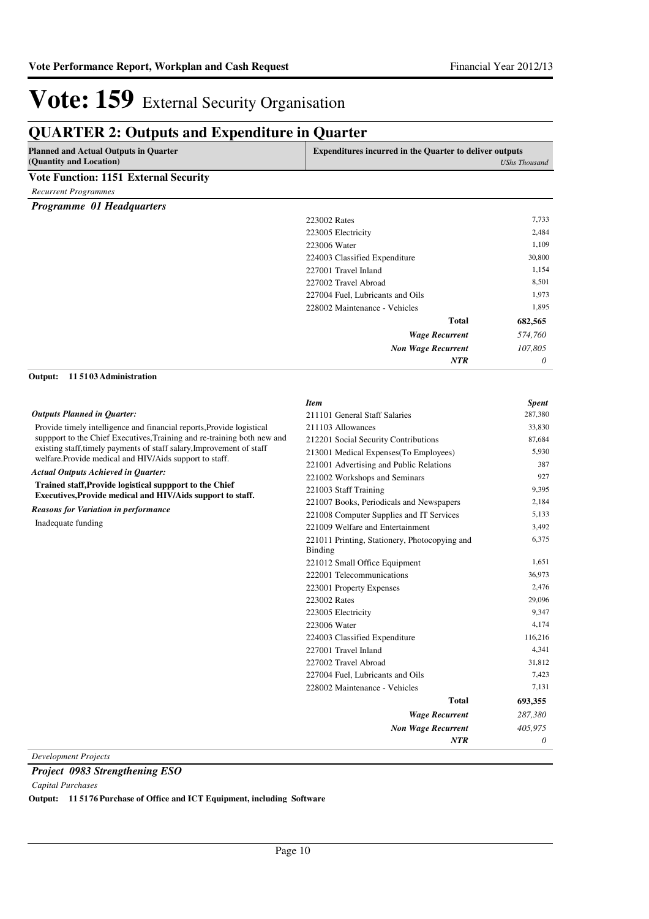| <b>Planned and Actual Outputs in Quarter</b><br>(Quantity and Location)                                                          | <b>Expenditures incurred in the Quarter to deliver outputs</b>  | <b>UShs Thousand</b> |
|----------------------------------------------------------------------------------------------------------------------------------|-----------------------------------------------------------------|----------------------|
| Vote Function: 1151 External Security                                                                                            |                                                                 |                      |
| <b>Recurrent Programmes</b>                                                                                                      |                                                                 |                      |
| Programme 01 Headquarters                                                                                                        |                                                                 |                      |
|                                                                                                                                  | 223002 Rates                                                    | 7,733                |
|                                                                                                                                  | 223005 Electricity                                              | 2,484                |
|                                                                                                                                  | 223006 Water                                                    | 1,109                |
|                                                                                                                                  | 224003 Classified Expenditure                                   | 30,800               |
|                                                                                                                                  | 227001 Travel Inland                                            | 1,154                |
|                                                                                                                                  | 227002 Travel Abroad                                            | 8,501                |
|                                                                                                                                  | 227004 Fuel, Lubricants and Oils                                | 1,973                |
|                                                                                                                                  | 228002 Maintenance - Vehicles                                   | 1,895                |
|                                                                                                                                  | <b>Total</b>                                                    | 682,565              |
|                                                                                                                                  | <b>Wage Recurrent</b>                                           | 574,760              |
|                                                                                                                                  | <b>Non Wage Recurrent</b>                                       | 107,805              |
|                                                                                                                                  | <b>NTR</b>                                                      | 0                    |
| 115103 Administration<br>Output:                                                                                                 |                                                                 |                      |
|                                                                                                                                  | <b>Item</b>                                                     | <b>Spent</b>         |
| <b>Outputs Planned in Quarter:</b>                                                                                               | 211101 General Staff Salaries                                   | 287,380              |
| Provide timely intelligence and financial reports, Provide logistical                                                            | 211103 Allowances                                               | 33,830               |
| support to the Chief Executives, Training and re-training both new and                                                           | 212201 Social Security Contributions                            | 87,684               |
| existing staff, timely payments of staff salary, Improvement of staff<br>welfare. Provide medical and HIV/Aids support to staff. | 213001 Medical Expenses(To Employees)                           | 5,930                |
| Actual Outputs Achieved in Quarter:                                                                                              | 221001 Advertising and Public Relations                         | 387                  |
| Trained staff, Provide logistical suppport to the Chief                                                                          | 221002 Workshops and Seminars                                   | 927                  |
| Executives, Provide medical and HIV/Aids support to staff.                                                                       | 221003 Staff Training                                           | 9,395                |
| <b>Reasons for Variation in performance</b>                                                                                      | 221007 Books, Periodicals and Newspapers                        | 2,184                |
| Inadequate funding                                                                                                               | 221008 Computer Supplies and IT Services                        | 5,133                |
|                                                                                                                                  | 221009 Welfare and Entertainment                                | 3,492                |
|                                                                                                                                  | 221011 Printing, Stationery, Photocopying and<br><b>Binding</b> | 6,375                |
|                                                                                                                                  | 221012 Small Office Equipment                                   | 1,651                |
|                                                                                                                                  | 222001 Telecommunications                                       | 36,973               |
|                                                                                                                                  | 223001 Property Expenses                                        | 2,476                |
|                                                                                                                                  | 223002 Rates                                                    | 29,096               |
|                                                                                                                                  | 223005 Electricity                                              | 9,347                |
|                                                                                                                                  | 223006 Water                                                    | 4,174                |
|                                                                                                                                  | 224003 Classified Expenditure                                   | 116,216              |
|                                                                                                                                  | 227001 Travel Inland                                            | 4,341                |
|                                                                                                                                  | 227002 Travel Abroad                                            | 31,812               |
|                                                                                                                                  | 227004 Fuel, Lubricants and Oils                                | 7,423                |
|                                                                                                                                  | 228002 Maintenance - Vehicles                                   | 7,131                |
|                                                                                                                                  | <b>Total</b>                                                    | 693,355              |
|                                                                                                                                  | <b>Wage Recurrent</b>                                           | 287,380              |
|                                                                                                                                  | <b>Non Wage Recurrent</b>                                       | 405,975              |
|                                                                                                                                  | <b>NTR</b>                                                      | 0                    |

*Development Projects*

*Project 0983 Strengthening ESO*

*Capital Purchases*

**Output: 11 5176 Purchase of Office and ICT Equipment, including Software**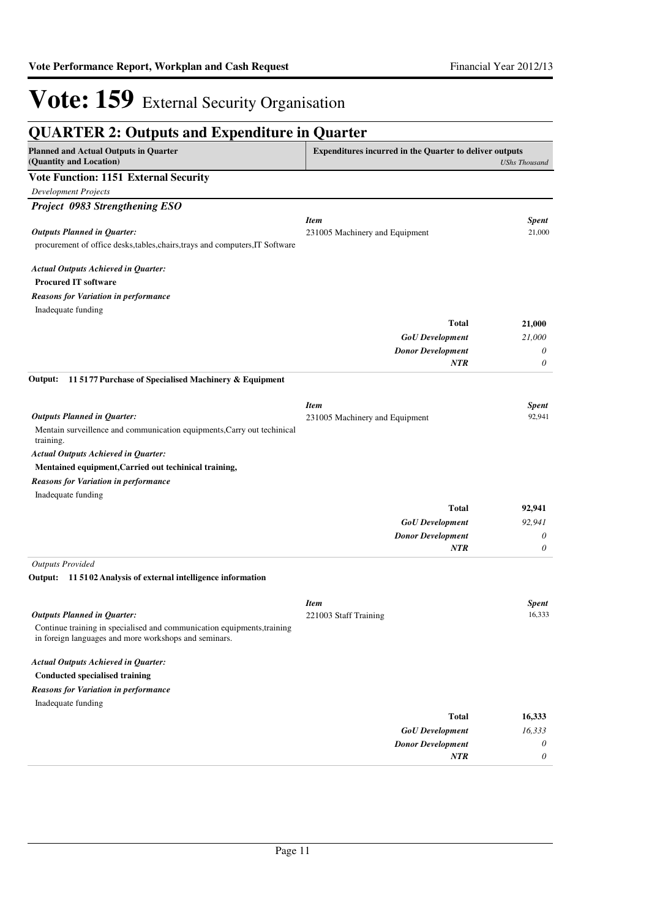| <b>QUARTER 2: Outputs and Expenditure in Quarter</b>                                                                             |                                                                |                        |  |  |
|----------------------------------------------------------------------------------------------------------------------------------|----------------------------------------------------------------|------------------------|--|--|
| <b>Planned and Actual Outputs in Quarter</b><br>(Quantity and Location)                                                          | <b>Expenditures incurred in the Quarter to deliver outputs</b> | <b>UShs Thousand</b>   |  |  |
| <b>Vote Function: 1151 External Security</b>                                                                                     |                                                                |                        |  |  |
| <b>Development Projects</b>                                                                                                      |                                                                |                        |  |  |
| Project 0983 Strengthening ESO                                                                                                   |                                                                |                        |  |  |
|                                                                                                                                  | <b>Item</b>                                                    | <b>Spent</b>           |  |  |
| <b>Outputs Planned in Quarter:</b><br>procurement of office desks, tables, chairs, trays and computers, IT Software              | 231005 Machinery and Equipment                                 | 21,000                 |  |  |
| <b>Actual Outputs Achieved in Quarter:</b><br><b>Procured IT software</b>                                                        |                                                                |                        |  |  |
| <b>Reasons for Variation in performance</b>                                                                                      |                                                                |                        |  |  |
| Inadequate funding                                                                                                               |                                                                |                        |  |  |
|                                                                                                                                  | <b>Total</b>                                                   | 21,000                 |  |  |
|                                                                                                                                  | <b>GoU</b> Development                                         | 21,000                 |  |  |
|                                                                                                                                  | <b>Donor Development</b>                                       | 0                      |  |  |
|                                                                                                                                  | <b>NTR</b>                                                     | 0                      |  |  |
| 115177 Purchase of Specialised Machinery & Equipment<br>Output:                                                                  |                                                                |                        |  |  |
| <b>Outputs Planned in Quarter:</b>                                                                                               | <b>Item</b><br>231005 Machinery and Equipment                  | <b>Spent</b><br>92,941 |  |  |
| Mentain surveillence and communication equipments, Carry out techinical<br>training.                                             |                                                                |                        |  |  |
| <b>Actual Outputs Achieved in Quarter:</b>                                                                                       |                                                                |                        |  |  |
| Mentained equipment, Carried out techinical training,                                                                            |                                                                |                        |  |  |
| <b>Reasons for Variation in performance</b>                                                                                      |                                                                |                        |  |  |
| Inadequate funding                                                                                                               |                                                                |                        |  |  |
|                                                                                                                                  | <b>Total</b>                                                   | 92,941                 |  |  |
|                                                                                                                                  | <b>GoU</b> Development                                         | 92,941                 |  |  |
|                                                                                                                                  | <b>Donor Development</b>                                       | 0                      |  |  |
|                                                                                                                                  | <b>NTR</b>                                                     | 0                      |  |  |
| <b>Outputs Provided</b><br>Output: 115102 Analysis of external intelligence information                                          |                                                                |                        |  |  |
|                                                                                                                                  | <b>Item</b>                                                    | <b>Spent</b>           |  |  |
| <b>Outputs Planned in Quarter:</b>                                                                                               | 221003 Staff Training                                          | 16,333                 |  |  |
| Continue training in specialised and communication equipments, training<br>in foreign languages and more workshops and seminars. |                                                                |                        |  |  |
| <b>Actual Outputs Achieved in Quarter:</b>                                                                                       |                                                                |                        |  |  |
| <b>Conducted specialised training</b>                                                                                            |                                                                |                        |  |  |
| <b>Reasons for Variation in performance</b>                                                                                      |                                                                |                        |  |  |
| Inadequate funding                                                                                                               |                                                                |                        |  |  |
|                                                                                                                                  | <b>Total</b>                                                   | 16,333                 |  |  |
|                                                                                                                                  | <b>GoU</b> Development                                         | 16,333                 |  |  |
|                                                                                                                                  | <b>Donor Development</b>                                       | 0                      |  |  |
|                                                                                                                                  | NTR                                                            | 0                      |  |  |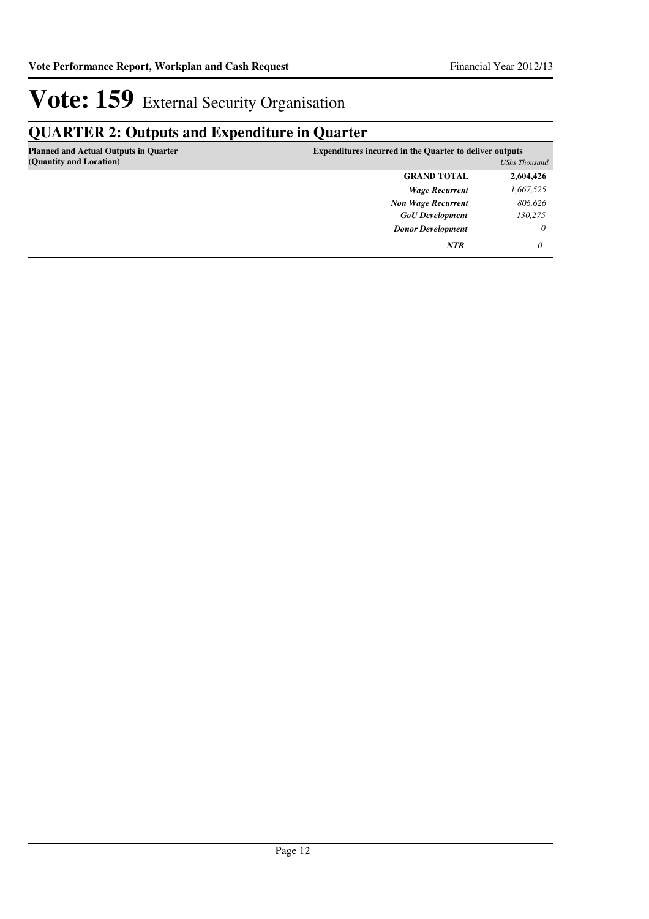## **QUARTER 2: Outputs and Expenditure in Quarter**

| <b>Planned and Actual Outputs in Quarter</b><br>(Quantity and Location) | <b>Expenditures incurred in the Quarter to deliver outputs</b><br>UShs Thousand |           |
|-------------------------------------------------------------------------|---------------------------------------------------------------------------------|-----------|
|                                                                         | <b>GRAND TOTAL</b>                                                              | 2,604,426 |
|                                                                         | <b>Wage Recurrent</b>                                                           | 1,667,525 |
|                                                                         | <b>Non Wage Recurrent</b>                                                       | 806,626   |
|                                                                         | <b>GoU</b> Development                                                          | 130,275   |
|                                                                         | <b>Donor Development</b>                                                        | $\theta$  |
|                                                                         | <b>NTR</b>                                                                      | 0         |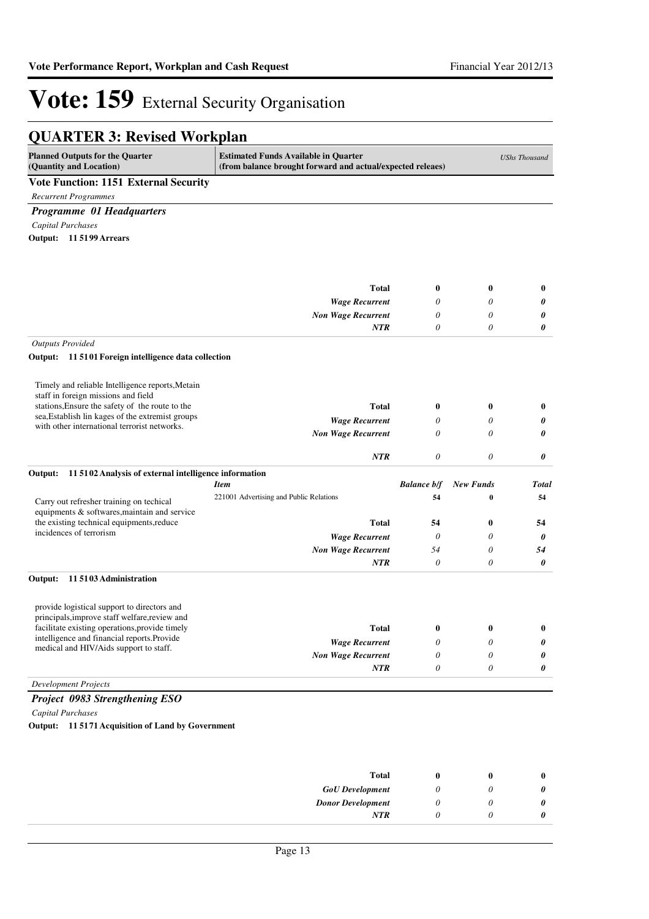## **QUARTER 3: Revised Workplan**

| <b>Planned Outputs for the Quarter</b><br>(Quantity and Location)                                | <b>Estimated Funds Available in Quarter</b><br>(from balance brought forward and actual/expected releaes) |                          |                       | <b>UShs Thousand</b> |
|--------------------------------------------------------------------------------------------------|-----------------------------------------------------------------------------------------------------------|--------------------------|-----------------------|----------------------|
| <b>Vote Function: 1151 External Security</b>                                                     |                                                                                                           |                          |                       |                      |
| <b>Recurrent Programmes</b>                                                                      |                                                                                                           |                          |                       |                      |
| Programme 01 Headquarters                                                                        |                                                                                                           |                          |                       |                      |
| <b>Capital Purchases</b>                                                                         |                                                                                                           |                          |                       |                      |
| Output: 11 5199 Arrears                                                                          |                                                                                                           |                          |                       |                      |
|                                                                                                  |                                                                                                           |                          |                       |                      |
|                                                                                                  | <b>Total</b>                                                                                              | $\bf{0}$                 | $\bf{0}$              | $\bf{0}$             |
|                                                                                                  | <b>Wage Recurrent</b>                                                                                     | 0                        | 0                     | 0                    |
|                                                                                                  | <b>Non Wage Recurrent</b>                                                                                 | 0<br>0                   | 0                     | 0                    |
|                                                                                                  | <b>NTR</b>                                                                                                |                          | 0                     | 0                    |
| <b>Outputs Provided</b><br>Output: 11 5101 Foreign intelligence data collection                  |                                                                                                           |                          |                       |                      |
|                                                                                                  |                                                                                                           |                          |                       |                      |
| Timely and reliable Intelligence reports, Metain<br>staff in foreign missions and field          |                                                                                                           |                          |                       |                      |
| stations, Ensure the safety of the route to the                                                  | <b>Total</b>                                                                                              | $\bf{0}$                 | $\bf{0}$              | $\bf{0}$             |
| sea, Establish lin kages of the extremist groups<br>with other international terrorist networks. | <b>Wage Recurrent</b>                                                                                     | 0                        | 0                     | 0                    |
|                                                                                                  | <b>Non Wage Recurrent</b>                                                                                 | $\theta$                 | 0                     | 0                    |
|                                                                                                  | <b>NTR</b>                                                                                                | $\theta$                 | 0                     | 0                    |
| Output:<br>11 5102 Analysis of external intelligence information                                 |                                                                                                           |                          |                       |                      |
|                                                                                                  | <b>Item</b><br>221001 Advertising and Public Relations                                                    | <b>Balance b/f</b><br>54 | <b>New Funds</b><br>0 | Total<br>54          |
| Carry out refresher training on techical<br>equipments & softwares, maintain and service         |                                                                                                           |                          |                       |                      |
| the existing technical equipments, reduce                                                        | <b>Total</b>                                                                                              | 54                       | $\bf{0}$              | 54                   |
| incidences of terrorism                                                                          | <b>Wage Recurrent</b>                                                                                     | $\theta$                 | 0                     | 0                    |
|                                                                                                  | <b>Non Wage Recurrent</b>                                                                                 | 54                       | 0                     | 54                   |
|                                                                                                  | <b>NTR</b>                                                                                                | $\theta$                 | 0                     | 0                    |
| Output:<br>115103 Administration                                                                 |                                                                                                           |                          |                       |                      |
| provide logistical support to directors and                                                      |                                                                                                           |                          |                       |                      |
| principals, improve staff welfare, review and<br>facilitate existing operations, provide timely  | <b>Total</b>                                                                                              | $\bf{0}$                 | $\bf{0}$              | $\bf{0}$             |
| intelligence and financial reports.Provide                                                       | <b>Wage Recurrent</b>                                                                                     | 0                        | 0                     | 0                    |
| medical and HIV/Aids support to staff.                                                           | <b>Non Wage Recurrent</b>                                                                                 | 0                        | 0                     | 0                    |
|                                                                                                  | NTR                                                                                                       | $\boldsymbol{\theta}$    | 0                     | 0                    |
| <b>Development Projects</b>                                                                      |                                                                                                           |                          |                       |                      |
| Project 0983 Strengthening ESO                                                                   |                                                                                                           |                          |                       |                      |
| Capital Purchases                                                                                |                                                                                                           |                          |                       |                      |
| Output: 11 5171 Acquisition of Land by Government                                                |                                                                                                           |                          |                       |                      |
|                                                                                                  |                                                                                                           |                          |                       |                      |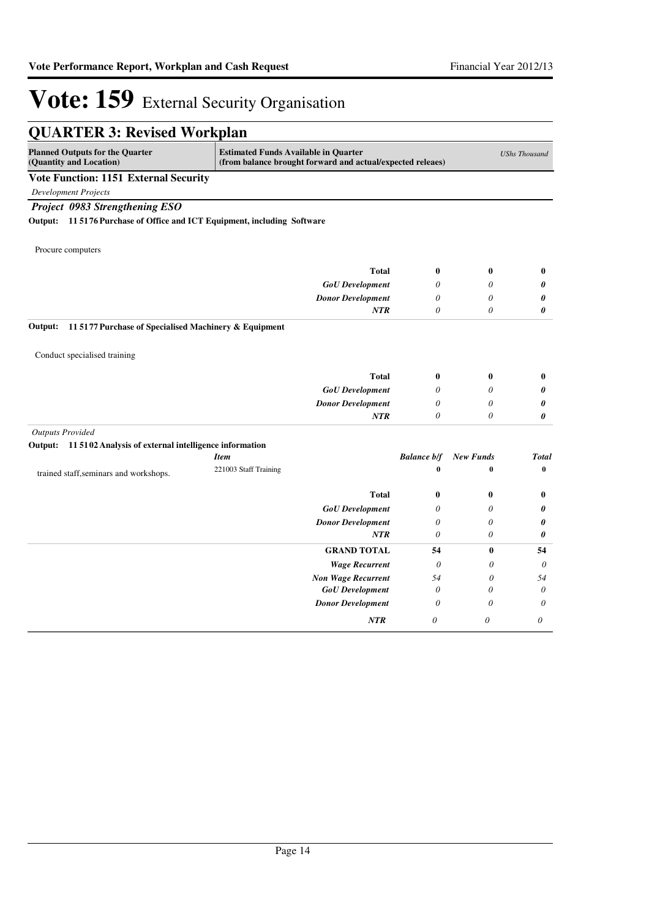| <b>QUARTER 3: Revised Workplan</b>                                       |                                             |                                                            |                    |                       |                      |
|--------------------------------------------------------------------------|---------------------------------------------|------------------------------------------------------------|--------------------|-----------------------|----------------------|
| <b>Planned Outputs for the Quarter</b><br>(Quantity and Location)        | <b>Estimated Funds Available in Quarter</b> | (from balance brought forward and actual/expected releaes) |                    |                       | <b>UShs Thousand</b> |
| <b>Vote Function: 1151 External Security</b>                             |                                             |                                                            |                    |                       |                      |
| <b>Development Projects</b>                                              |                                             |                                                            |                    |                       |                      |
| Project 0983 Strengthening ESO                                           |                                             |                                                            |                    |                       |                      |
| Output: 11 5176 Purchase of Office and ICT Equipment, including Software |                                             |                                                            |                    |                       |                      |
|                                                                          |                                             |                                                            |                    |                       |                      |
| Procure computers                                                        |                                             |                                                            |                    |                       |                      |
|                                                                          |                                             | <b>Total</b>                                               | $\bf{0}$           | $\bf{0}$              | $\bf{0}$             |
|                                                                          |                                             | <b>GoU</b> Development                                     | 0                  | 0                     | 0                    |
|                                                                          |                                             | <b>Donor Development</b>                                   | $\theta$           | $\theta$              | 0                    |
|                                                                          |                                             | <b>NTR</b>                                                 | $\theta$           | $\theta$              | 0                    |
| 11 5177 Purchase of Specialised Machinery & Equipment<br>Output:         |                                             |                                                            |                    |                       |                      |
| Conduct specialised training                                             |                                             |                                                            |                    |                       |                      |
|                                                                          |                                             |                                                            |                    |                       |                      |
|                                                                          |                                             | <b>Total</b>                                               | $\bf{0}$           | $\bf{0}$              | $\bf{0}$             |
|                                                                          |                                             | <b>GoU</b> Development                                     | 0<br>$\theta$      | $\theta$<br>$\theta$  | 0                    |
|                                                                          |                                             | <b>Donor Development</b><br><b>NTR</b>                     | $\theta$           | 0                     | 0<br>0               |
| <b>Outputs Provided</b>                                                  |                                             |                                                            |                    |                       |                      |
| Output: 11 5102 Analysis of external intelligence information            |                                             |                                                            |                    |                       |                      |
|                                                                          | <b>Item</b>                                 |                                                            | <b>Balance b/f</b> | <b>New Funds</b>      | <b>Total</b>         |
| trained staff, seminars and workshops.                                   | 221003 Staff Training                       |                                                            | $\bf{0}$           | $\bf{0}$              | $\bf{0}$             |
|                                                                          |                                             | <b>Total</b>                                               | $\bf{0}$           | $\bf{0}$              | $\bf{0}$             |
|                                                                          |                                             | <b>GoU</b> Development                                     | $\theta$           | $\theta$              | 0                    |
|                                                                          |                                             | <b>Donor Development</b>                                   | $\theta$           | $\theta$              | 0                    |
|                                                                          |                                             | <b>NTR</b>                                                 | $\theta$           | 0                     | 0                    |
|                                                                          |                                             | <b>GRAND TOTAL</b>                                         | 54                 | $\bf{0}$              | 54                   |
|                                                                          |                                             | <b>Wage Recurrent</b>                                      | $\theta$           | 0                     | $\theta$             |
|                                                                          |                                             | <b>Non Wage Recurrent</b>                                  | 54                 | $\boldsymbol{\theta}$ | 54                   |
|                                                                          |                                             | <b>GoU</b> Development                                     | $\theta$           | $\theta$              | $\theta$             |
|                                                                          |                                             | <b>Donor Development</b>                                   | $\theta$           | $\theta$              | $\theta$             |
|                                                                          |                                             | NTR                                                        | $\theta$           | $\boldsymbol{\theta}$ | $\theta$             |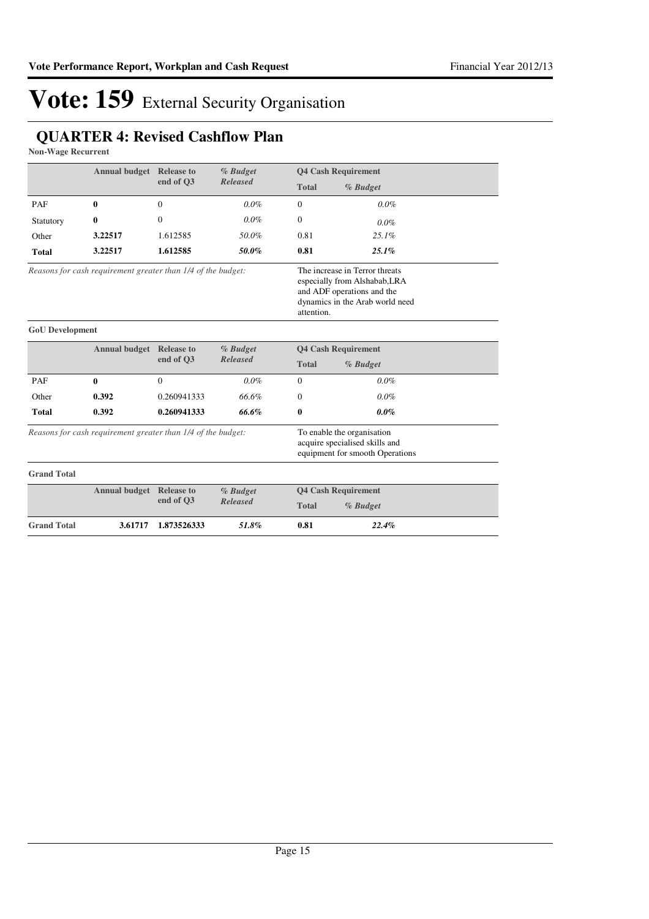## **QUARTER 4: Revised Cashflow Plan**

**Non-Wage Recurrent**

|                        | <b>Annual budget</b> Release to                              |                                          | % Budget        |                            | <b>Q4 Cash Requirement</b>                                                                                                       |  |
|------------------------|--------------------------------------------------------------|------------------------------------------|-----------------|----------------------------|----------------------------------------------------------------------------------------------------------------------------------|--|
|                        |                                                              | end of Q3                                | <b>Released</b> | <b>Total</b>               | % Budget                                                                                                                         |  |
| PAF                    | 0                                                            | $\mathbf{0}$                             | $0.0\%$         | $\mathbf{0}$               | 0.0%                                                                                                                             |  |
| Statutory              | 0                                                            | $\Omega$                                 | $0.0\%$         | $\Omega$                   | $0.0\%$                                                                                                                          |  |
| Other                  | 3.22517                                                      | 1.612585                                 | 50.0%           | 0.81                       | $25.1\%$                                                                                                                         |  |
| <b>Total</b>           | 3.22517                                                      | 1.612585                                 | 50.0%           | 0.81                       | 25.1%                                                                                                                            |  |
|                        | Reasons for cash requirement greater than 1/4 of the budget: |                                          |                 | attention.                 | The increase in Terror threats<br>especially from Alshabab, LRA<br>and ADF operations and the<br>dynamics in the Arab world need |  |
| <b>GoU</b> Development |                                                              |                                          |                 |                            |                                                                                                                                  |  |
|                        | <b>Annual budget</b> Release to                              |                                          | % Budget        | <b>Q4 Cash Requirement</b> |                                                                                                                                  |  |
|                        |                                                              | end of Q3                                | <b>Released</b> | <b>Total</b>               | % Budget                                                                                                                         |  |
| PAF                    | $\mathbf{0}$                                                 | $\Omega$                                 | $0.0\%$         | $\Omega$                   | $0.0\%$                                                                                                                          |  |
| Other                  | 0.392                                                        | 0.260941333                              | 66.6%           | $\mathbf{0}$               | $0.0\%$                                                                                                                          |  |
| <b>Total</b>           | 0.392                                                        | 0.260941333                              | 66.6%           | 0                          | $0.0\%$                                                                                                                          |  |
|                        | Reasons for cash requirement greater than 1/4 of the budget: |                                          |                 |                            | To enable the organisation<br>acquire specialised skills and<br>equipment for smooth Operations                                  |  |
| <b>Grand Total</b>     |                                                              |                                          |                 |                            |                                                                                                                                  |  |
|                        | <b>Annual budget</b> Release to                              | % Budget<br>end of Q3<br><b>Released</b> |                 |                            | <b>Q4 Cash Requirement</b>                                                                                                       |  |
|                        |                                                              |                                          |                 | <b>Total</b>               | % Budget                                                                                                                         |  |
|                        |                                                              |                                          |                 |                            |                                                                                                                                  |  |